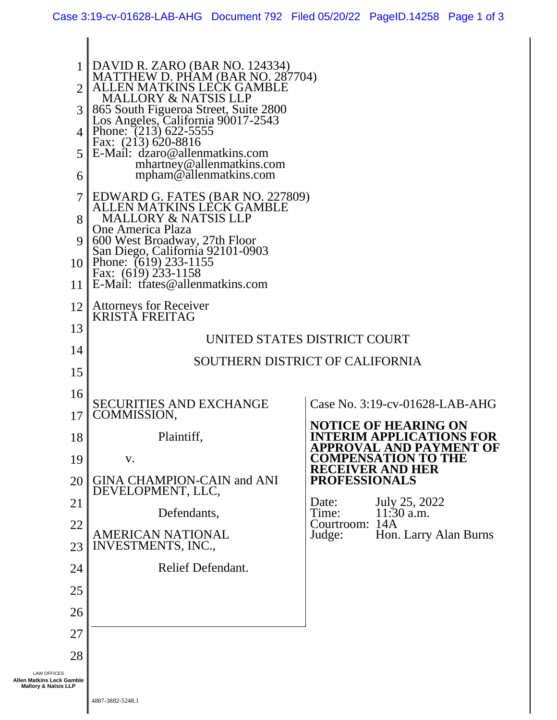| $\overline{2}$<br>$\mathfrak{Z}$<br>4 <sub>1</sub><br>5<br>6                       | DAVID R. ZARO (BAR NO. 124334)<br>MATTHEW D. PHAM (BAR NO. 287704)<br>EN MATKINS LECK GAMBLE.<br><b>MALLORY &amp; NATSIS LLP</b><br>865 South Figueroa Street, Suite 2800<br>Los Angeles, California 90017-2543<br>Phone: (213) 622-5555<br>Fax: (213) 620-8816<br>E-Mail: dzaro@allenmatkins.com<br>mhartney@allenmatkins.com<br>mpham@allenmatkins.com |                                                                                                                                                                                                                                                                                                             |  |
|------------------------------------------------------------------------------------|----------------------------------------------------------------------------------------------------------------------------------------------------------------------------------------------------------------------------------------------------------------------------------------------------------------------------------------------------------|-------------------------------------------------------------------------------------------------------------------------------------------------------------------------------------------------------------------------------------------------------------------------------------------------------------|--|
| 8<br>9<br>11                                                                       | EDWARD G. FATES (BAR NO. 227809)<br>ALLEN MATKINS LECK GAMBLE<br><b>MALLORY &amp; NATSIS LLP</b><br>One America Plaza<br>600 West Broadway, 27th Floor<br>San Diego, California 92101-0903<br>10 Phone: (619) 233-1155<br>Fax: (619) 233-1158<br>E-Mail: trates@allenmatkins.com                                                                         |                                                                                                                                                                                                                                                                                                             |  |
| 12<br>13<br>14<br>15                                                               | <b>Attorneys for Receiver</b><br><b>KRISTA FREITAG</b><br>UNITED STATES DISTRICT COURT<br>SOUTHERN DISTRICT OF CALIFORNIA                                                                                                                                                                                                                                |                                                                                                                                                                                                                                                                                                             |  |
| 16<br>17<br>18<br>19<br>20<br>21<br>22<br>23<br>24<br>25<br>26<br>27<br>28         | <b>SECURITIES AND EXCHANGE</b><br>COMMISSION,<br>Plaintiff,<br>V.<br><b>GINA CHAMPION-CAIN and ANI</b><br>DEVELOPMENT, LLC,<br>Defendants,<br>AMERICAN NATIONAL<br><b>INVESTMENTS, INC.,</b><br>Relief Defendant.                                                                                                                                        | Case No. 3:19-cv-01628-LAB-AHG<br><b>NOTICE OF HEARING ON</b><br>TERIM APPLICATIONS FOR<br>APPROVAL AND PAYMENT OF<br><b>COMPENSATION TO THE</b><br><b>RECEIVER AND HER</b><br><b>PROFESSIONALS</b><br>July 25, 2022<br>Date:<br>Time:<br>$11:30$ a.m.<br>Courtroom: 14A<br>Judge:<br>Hon. Larry Alan Burns |  |
| <b>LAW OFFICES</b><br>Allen Matkins Leck Gamble<br><b>Mallory &amp; Natsis LLP</b> |                                                                                                                                                                                                                                                                                                                                                          |                                                                                                                                                                                                                                                                                                             |  |

 $\mathbb I$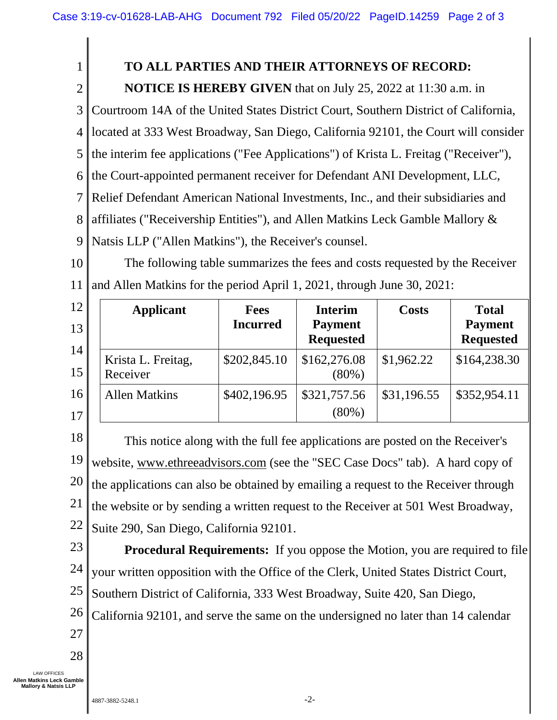## **TO ALL PARTIES AND THEIR ATTORNEYS OF RECORD:**

**NOTICE IS HEREBY GIVEN** that on July 25, 2022 at 11:30 a.m. in

3 Courtroom 14A of the United States District Court, Southern District of California,

4 located at 333 West Broadway, San Diego, California 92101, the Court will consider

5 the interim fee applications ("Fee Applications") of Krista L. Freitag ("Receiver"),

6 the Court-appointed permanent receiver for Defendant ANI Development, LLC,

7 Relief Defendant American National Investments, Inc., and their subsidiaries and

8 affiliates ("Receivership Entities"), and Allen Matkins Leck Gamble Mallory &

9 Natsis LLP ("Allen Matkins"), the Receiver's counsel.

10 11 The following table summarizes the fees and costs requested by the Receiver and Allen Matkins for the period April 1, 2021, through June 30, 2021:

| 12<br>13<br>14 | <b>Applicant</b>               | <b>Fees</b><br><b>Incurred</b> | <b>Interim</b><br><b>Payment</b><br><b>Requested</b> | <b>Costs</b> | <b>Total</b><br><b>Payment</b><br><b>Requested</b> |
|----------------|--------------------------------|--------------------------------|------------------------------------------------------|--------------|----------------------------------------------------|
| 15             | Krista L. Freitag,<br>Receiver | \$202,845.10                   | \$162,276.08<br>$(80\%)$                             | \$1,962.22   | \$164,238.30                                       |
| 16             | <b>Allen Matkins</b>           | \$402,196.95                   | \$321,757.56                                         | \$31,196.55  | \$352,954.11                                       |
| 17             |                                |                                | $(80\%)$                                             |              |                                                    |

18 19 20 21 22 This notice along with the full fee applications are posted on the Receiver's website, www.ethreeadvisors.com (see the "SEC Case Docs" tab). A hard copy of the applications can also be obtained by emailing a request to the Receiver through the website or by sending a written request to the Receiver at 501 West Broadway, Suite 290, San Diego, California 92101.

23 24 25 **Procedural Requirements:** If you oppose the Motion, you are required to file your written opposition with the Office of the Clerk, United States District Court, Southern District of California, 333 West Broadway, Suite 420, San Diego,

26 California 92101, and serve the same on the undersigned no later than 14 calendar

27

1

2

28

LAW OFFICES **Allen Matkins Leck Gamble Mallory & Natsis LLP**